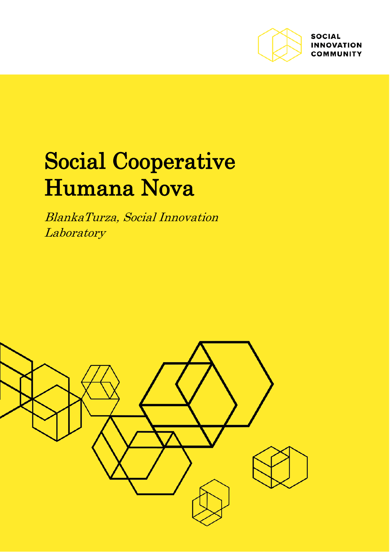

**SOCIAL INNOVATION COMMUNITY** 

# Social Cooperative Humana Nova

BlankaTurza, Social Innovation **Laboratory** 

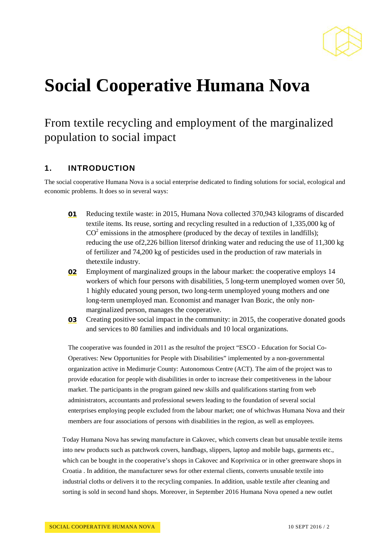

# **Social Cooperative Humana Nova**

# From textile recycling and employment of the marginalized population to social impact

#### **1. INTRODUCTION**

The social cooperative Humana Nova is a social enterprise dedicated to finding solutions for social, ecological and economic problems. It does so in several ways:

- 01 Reducing textile waste: in 2015, Humana Nova collected 370,943 kilograms of discarded textile items. Its reuse, sorting and recycling resulted in a reduction of 1,335,000 kg of  $CO<sup>2</sup>$  emissions in the atmosphere (produced by the decay of textiles in landfills); reducing the use of2,226 billion litersof drinking water and reducing the use of 11,300 kg of fertilizer and 74,200 kg of pesticides used in the production of raw materials in thetextile industry.
- 02 Employment of marginalized groups in the labour market: the cooperative employs 14 workers of which four persons with disabilities, 5 long-term unemployed women over 50, 1 highly educated young person, two long-term unemployed young mothers and one long-term unemployed man. Economist and manager Ivan Bozic, the only nonmarginalized person, manages the cooperative.
- 03 Creating positive social impact in the community: in 2015, the cooperative donated goods and services to 80 families and individuals and 10 local organizations.

The cooperative was founded in 2011 as the resultof the project "ESCO - Education for Social Co-Operatives: New Opportunities for People with Disabilities" implemented by a non-governmental organization active in Medimurje County: Autonomous Centre (ACT). The aim of the project was to provide education for people with disabilities in order to increase their competitiveness in the labour market. The participants in the program gained new skills and qualifications starting from web administrators, accountants and professional sewers leading to the foundation of several social enterprises employing people excluded from the labour market; one of whichwas Humana Nova and their members are four associations of persons with disabilities in the region, as well as employees.

Today Humana Nova has sewing manufacture in Cakovec, which converts clean but unusable textile items into new products such as patchwork covers, handbags, slippers, laptop and mobile bags, garments etc., which can be bought in the cooperative's shops in Cakovec and Koprivnica or in other greenware shops in Croatia . In addition, the manufacturer sews for other external clients, converts unusable textile into industrial cloths or delivers it to the recycling companies. In addition, usable textile after cleaning and sorting is sold in second hand shops. Moreover, in September 2016 Humana Nova opened a new outlet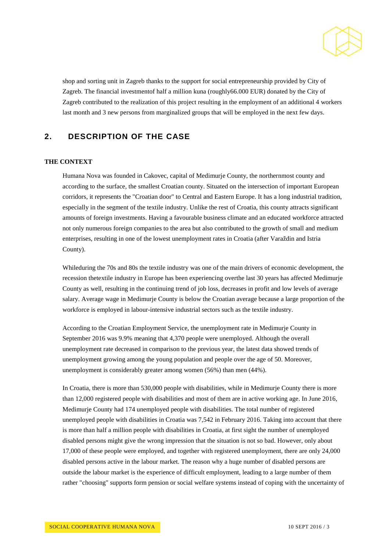

shop and sorting unit in Zagreb thanks to the support for social entrepreneurship provided by City of Zagreb. The financial investmentof half a million kuna (roughly66.000 EUR) donated by the City of Zagreb contributed to the realization of this project resulting in the employment of an additional 4 workers last month and 3 new persons from marginalized groups that will be employed in the next few days.

### **2. DESCRIPTION OF THE CASE**

#### **THE CONTEXT**

Humana Nova was founded in Cakovec, capital of Medimurje County, the northernmost county and according to the surface, the smallest Croatian county. Situated on the intersection of important European corridors, it represents the "Croatian door" to Central and Eastern Europe. It has a long industrial tradition, especially in the segment of the textile industry. Unlike the rest of Croatia, this county attracts significant amounts of foreign investments. Having a favourable business climate and an educated workforce attracted not only numerous foreign companies to the area but also contributed to the growth of small and medium enterprises, resulting in one of the lowest unemployment rates in Croatia (after Varaždin and Istria County).

Whileduring the 70s and 80s the textile industry was one of the main drivers of economic development, the recession thetextile industry in Europe has been experiencing overthe last 30 years has affected Medimurje County as well, resulting in the continuing trend of job loss, decreases in profit and low levels of average salary. Average wage in Medimurje County is below the Croatian average because a large proportion of the workforce is employed in labour-intensive industrial sectors such as the textile industry.

According to the Croatian Employment Service, the unemployment rate in Medimurje County in September 2016 was 9.9% meaning that 4,370 people were unemployed. Although the overall unemployment rate decreased in comparison to the previous year, the latest data showed trends of unemployment growing among the young population and people over the age of 50. Moreover, unemployment is considerably greater among women (56%) than men (44%).

In Croatia, there is more than 530,000 people with disabilities, while in Medimurje County there is more than 12,000 registered people with disabilities and most of them are in active working age. In June 2016, Medimurje County had 174 unemployed people with disabilities. The total number of registered unemployed people with disabilities in Croatia was 7,542 in February 2016. Taking into account that there is more than half a million people with disabilities in Croatia, at first sight the number of unemployed disabled persons might give the wrong impression that the situation is not so bad. However, only about 17,000 of these people were employed, and together with registered unemployment, there are only 24,000 disabled persons active in the labour market. The reason why a huge number of disabled persons are outside the labour market is the experience of difficult employment, leading to a large number of them rather "choosing" supports form pension or social welfare systems instead of coping with the uncertainty of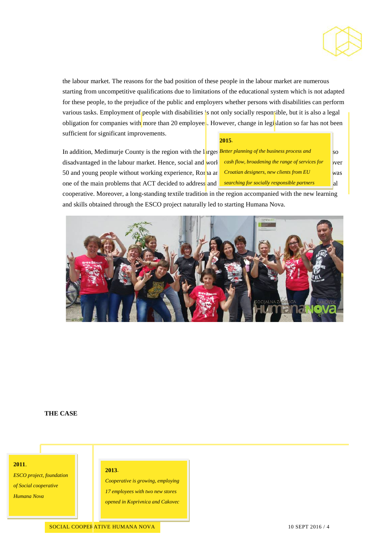

the labour market. The reasons for the bad position of these people in the labour market are numerous starting from uncompetitive qualifications due to limitations of the educational system which is not adapted for these people, to the prejudice of the public and employers whether persons with disabilities can perform various tasks. Employment of people with disabilities is not only socially responsible, but it is also a legal obligation for companies with more than 20 employees. However, change in legislation so far has not been sufficient for significant improvements.

#### **2015**.

In addition, Medimurje County is the region with the larges *Better planning of the business process and* so so disadvantaged in the labour market. Hence, social and work cash flow, broadening the range of services for yver 50 and young people without working experience, Roma and *Croatian designers, new clients from EU* one of the main problems that ACT decided to address and searching for socially responsible partners and all

*Croatian designers, new clients from EU* 

cooperative. Moreover, a long-standing textile tradition in the region accompanied with the new learning and skills obtained through the ESCO project naturally led to starting Humana Nova.



#### **THE CASE**

#### **2011**.

*ESCO project, foundation of Social cooperative* 

*Humana Nova*

#### **2013**.

*Cooperative is growing, employing 17 employees with two new stores opened in Koprivnica and Cakovec*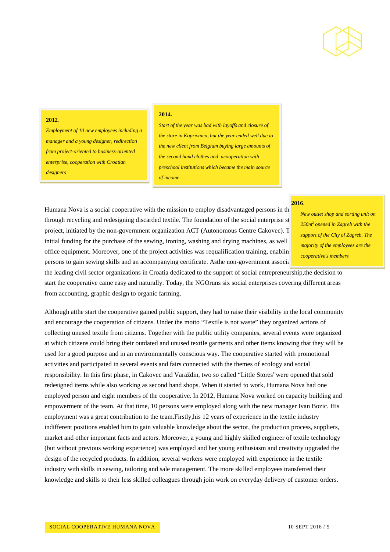

#### **2012**.

*Employment of 10 new employees including a manager and a young designer, redirection from project-oriented to business-oriented enterprise, cooperation with Croatian designers*

#### **2014**.

*Start of the year was bad with layoffs and closure of the store in Koprivnica, but the year ended well due to the new client from Belgium buying large amounts of the second hand clothes and acooperation with preschool institutions which became the main source of income*

## Humana Nova is a social cooperative with the mission to employ disadvantaged persons in the through recycling and redesigning discarded textile. The foundation of the social enterprise st project, initiated by the non-government organization ACT (Autonomous Centre Cakovec). T initial funding for the purchase of the sewing, ironing, washing and drying machines, as well office equipment. Moreover, one of the project activities was requalification training, enabling persons to gain sewing skills and an accompanying certificate. Asthe non-government association ACT is one of the official and ACT is one of the non-government association ACT is one of the official and  $\alpha$

#### **2016**.

*New outlet shop and sorting unit on 250m2 opened in Zagreb with the support of the City of Zagreb. The majority of the employees are the cooperative's members*

the leading civil sector organizations in Croatia dedicated to the support of social entrepreneurship,the decision to start the cooperative came easy and naturally. Today, the NGOruns six social enterprises covering different areas from accounting, graphic design to organic farming.

Although atthe start the cooperative gained public support, they had to raise their visibility in the local community and encourage the cooperation of citizens. Under the motto "Textile is not waste" they organized actions of collecting unused textile from citizens. Together with the public utility companies, several events were organized at which citizens could bring their outdated and unused textile garments and other items knowing that they will be used for a good purpose and in an environmentally conscious way. The cooperative started with promotional activities and participated in several events and fairs connected with the themes of ecology and social responsibility. In this first phase, in Cakovec and Varaždin, two so called "Little Stores"were opened that sold redesigned items while also working as second hand shops. When it started to work, Humana Nova had one employed person and eight members of the cooperative. In 2012, Humana Nova worked on capacity building and empowerment of the team. At that time, 10 persons were employed along with the new manager Ivan Bozic. His employment was a great contribution to the team.Firstly,his 12 years of experience in the textile industry indifferent positions enabled him to gain valuable knowledge about the sector, the production process, suppliers, market and other important facts and actors. Moreover, a young and highly skilled engineer of textile technology (but without previous working experience) was employed and her young enthusiasm and creativity upgraded the design of the recycled products. In addition, several workers were employed with experience in the textile industry with skills in sewing, tailoring and sale management. The more skilled employees transferred their knowledge and skills to their less skilled colleagues through join work on everyday delivery of customer orders.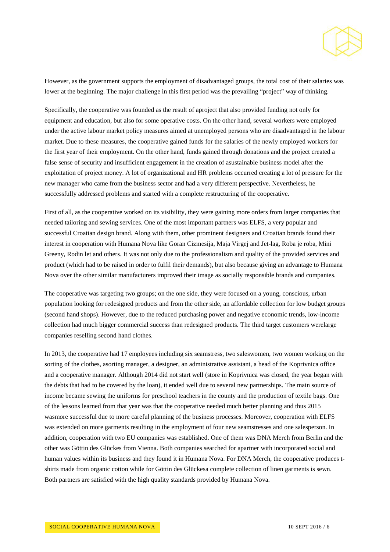

However, as the government supports the employment of disadvantaged groups, the total cost of their salaries was lower at the beginning. The major challenge in this first period was the prevailing "project" way of thinking.

Specifically, the cooperative was founded as the result of aproject that also provided funding not only for equipment and education, but also for some operative costs. On the other hand, several workers were employed under the active labour market policy measures aimed at unemployed persons who are disadvantaged in the labour market. Due to these measures, the cooperative gained funds for the salaries of the newly employed workers for the first year of their employment. On the other hand, funds gained through donations and the project created a false sense of security and insufficient engagement in the creation of asustainable business model after the exploitation of project money. A lot of organizational and HR problems occurred creating a lot of pressure for the new manager who came from the business sector and had a very different perspective. Nevertheless, he successfully addressed problems and started with a complete restructuring of the cooperative.

First of all, as the cooperative worked on its visibility, they were gaining more orders from larger companies that needed tailoring and sewing services. One of the most important partners was ELFS, a very popular and successful Croatian design brand. Along with them, other prominent designers and Croatian brands found their interest in cooperation with Humana Nova like Goran Cizmesija, Maja Virgej and Jet-lag, Roba je roba, Mini Greeny, Rodin let and others. It was not only due to the professionalism and quality of the provided services and product (which had to be raised in order to fulfil their demands), but also because giving an advantage to Humana Nova over the other similar manufacturers improved their image as socially responsible brands and companies.

The cooperative was targeting two groups; on the one side, they were focused on a young, conscious, urban population looking for redesigned products and from the other side, an affordable collection for low budget groups (second hand shops). However, due to the reduced purchasing power and negative economic trends, low-income collection had much bigger commercial success than redesigned products. The third target customers werelarge companies reselling second hand clothes.

In 2013, the cooperative had 17 employees including six seamstress, two saleswomen, two women working on the sorting of the clothes, asorting manager, a designer, an administrative assistant, a head of the Koprivnica office and a cooperative manager. Although 2014 did not start well (store in Koprivnica was closed, the year began with the debts that had to be covered by the loan), it ended well due to several new partnerships. The main source of income became sewing the uniforms for preschool teachers in the county and the production of textile bags. One of the lessons learned from that year was that the cooperative needed much better planning and thus 2015 wasmore successful due to more careful planning of the business processes. Moreover, cooperation with ELFS was extended on more garments resulting in the employment of four new seamstresses and one salesperson. In addition, cooperation with two EU companies was established. One of them was DNA Merch from Berlin and the other was Göttin des Glückes from Vienna. Both companies searched for apartner with incorporated social and human values within its business and they found it in Humana Nova. For DNA Merch, the cooperative produces tshirts made from organic cotton while for Göttin des Glückesa complete collection of linen garments is sewn. Both partners are satisfied with the high quality standards provided by Humana Nova.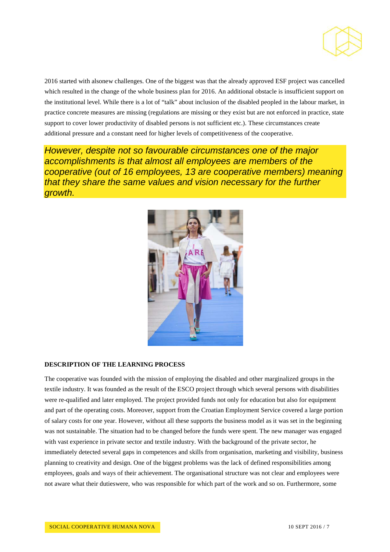

2016 started with alsonew challenges. One of the biggest was that the already approved ESF project was cancelled which resulted in the change of the whole business plan for 2016. An additional obstacle is insufficient support on the institutional level. While there is a lot of "talk" about inclusion of the disabled peopled in the labour market, in practice concrete measures are missing (regulations are missing or they exist but are not enforced in practice, state support to cover lower productivity of disabled persons is not sufficient etc.). These circumstances create additional pressure and a constant need for higher levels of competitiveness of the cooperative.

*However, despite not so favourable circumstances one of the major accomplishments is that almost all employees are members of the cooperative (out of 16 employees, 13 are cooperative members) meaning that they share the same values and vision necessary for the further growth.*



#### **DESCRIPTION OF THE LEARNING PROCESS**

The cooperative was founded with the mission of employing the disabled and other marginalized groups in the textile industry. It was founded as the result of the ESCO project through which several persons with disabilities were re-qualified and later employed. The project provided funds not only for education but also for equipment and part of the operating costs. Moreover, support from the Croatian Employment Service covered a large portion of salary costs for one year. However, without all these supports the business model as it was set in the beginning was not sustainable. The situation had to be changed before the funds were spent. The new manager was engaged with vast experience in private sector and textile industry. With the background of the private sector, he immediately detected several gaps in competences and skills from organisation, marketing and visibility, business planning to creativity and design. One of the biggest problems was the lack of defined responsibilities among employees, goals and ways of their achievement. The organisational structure was not clear and employees were not aware what their dutieswere, who was responsible for which part of the work and so on. Furthermore, some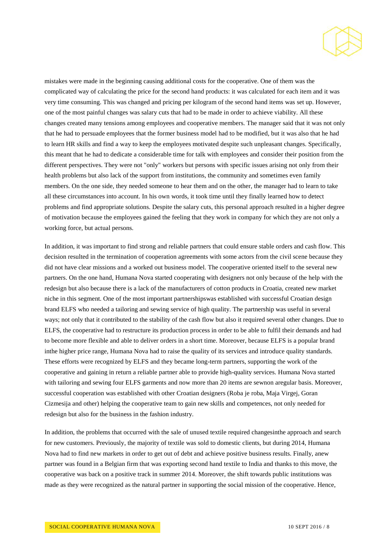

mistakes were made in the beginning causing additional costs for the cooperative. One of them was the complicated way of calculating the price for the second hand products: it was calculated for each item and it was very time consuming. This was changed and pricing per kilogram of the second hand items was set up. However, one of the most painful changes was salary cuts that had to be made in order to achieve viability. All these changes created many tensions among employees and cooperative members. The manager said that it was not only that he had to persuade employees that the former business model had to be modified, but it was also that he had to learn HR skills and find a way to keep the employees motivated despite such unpleasant changes. Specifically, this meant that he had to dedicate a considerable time for talk with employees and consider their position from the different perspectives. They were not "only" workers but persons with specific issues arising not only from their health problems but also lack of the support from institutions, the community and sometimes even family members. On the one side, they needed someone to hear them and on the other, the manager had to learn to take all these circumstances into account. In his own words, it took time until they finally learned how to detect problems and find appropriate solutions. Despite the salary cuts, this personal approach resulted in a higher degree of motivation because the employees gained the feeling that they work in company for which they are not only a working force, but actual persons.

In addition, it was important to find strong and reliable partners that could ensure stable orders and cash flow. This decision resulted in the termination of cooperation agreements with some actors from the civil scene because they did not have clear missions and a worked out business model. The cooperative oriented itself to the several new partners. On the one hand, Humana Nova started cooperating with designers not only because of the help with the redesign but also because there is a lack of the manufacturers of cotton products in Croatia, created new market niche in this segment. One of the most important partnershipswas established with successful Croatian design brand ELFS who needed a tailoring and sewing service of high quality. The partnership was useful in several ways; not only that it contributed to the stability of the cash flow but also it required several other changes. Due to ELFS, the cooperative had to restructure its production process in order to be able to fulfil their demands and had to become more flexible and able to deliver orders in a short time. Moreover, because ELFS is a popular brand inthe higher price range, Humana Nova had to raise the quality of its services and introduce quality standards. These efforts were recognized by ELFS and they became long-term partners, supporting the work of the cooperative and gaining in return a reliable partner able to provide high-quality services. Humana Nova started with tailoring and sewing four ELFS garments and now more than 20 items are sewnon aregular basis. Moreover, successful cooperation was established with other Croatian designers (Roba je roba, Maja Virgej, Goran Cizmesija and other) helping the cooperative team to gain new skills and competences, not only needed for redesign but also for the business in the fashion industry.

In addition, the problems that occurred with the sale of unused textile required changesinthe approach and search for new customers. Previously, the majority of textile was sold to domestic clients, but during 2014, Humana Nova had to find new markets in order to get out of debt and achieve positive business results. Finally, anew partner was found in a Belgian firm that was exporting second hand textile to India and thanks to this move, the cooperative was back on a positive track in summer 2014. Moreover, the shift towards public institutions was made as they were recognized as the natural partner in supporting the social mission of the cooperative. Hence,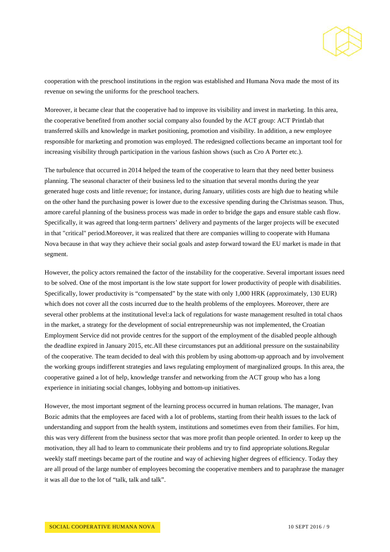

cooperation with the preschool institutions in the region was established and Humana Nova made the most of its revenue on sewing the uniforms for the preschool teachers.

Moreover, it became clear that the cooperative had to improve its visibility and invest in marketing. In this area, the cooperative benefited from another social company also founded by the ACT group: ACT Printlab that transferred skills and knowledge in market positioning, promotion and visibility. In addition, a new employee responsible for marketing and promotion was employed. The redesigned collections became an important tool for increasing visibility through participation in the various fashion shows (such as Cro A Porter etc.).

The turbulence that occurred in 2014 helped the team of the cooperative to learn that they need better business planning. The seasonal character of their business led to the situation that several months during the year generated huge costs and little revenue; for instance, during January, utilities costs are high due to heating while on the other hand the purchasing power is lower due to the excessive spending during the Christmas season. Thus, amore careful planning of the business process was made in order to bridge the gaps and ensure stable cash flow. Specifically, it was agreed that long-term partners' delivery and payments of the larger projects will be executed in that "critical" period.Moreover, it was realized that there are companies willing to cooperate with Humana Nova because in that way they achieve their social goals and astep forward toward the EU market is made in that segment.

However, the policy actors remained the factor of the instability for the cooperative. Several important issues need to be solved. One of the most important is the low state support for lower productivity of people with disabilities. Specifically, lower productivity is "compensated" by the state with only 1,000 HRK (approximately, 130 EUR) which does not cover all the costs incurred due to the health problems of the employees. Moreover, there are several other problems at the institutional level:a lack of regulations for waste management resulted in total chaos in the market, a strategy for the development of social entrepreneurship was not implemented, the Croatian Employment Service did not provide centres for the support of the employment of the disabled people although the deadline expired in January 2015, etc.All these circumstances put an additional pressure on the sustainability of the cooperative. The team decided to deal with this problem by using abottom-up approach and by involvement the working groups indifferent strategies and laws regulating employment of marginalized groups. In this area, the cooperative gained a lot of help, knowledge transfer and networking from the ACT group who has a long experience in initiating social changes, lobbying and bottom-up initiatives.

However, the most important segment of the learning process occurred in human relations. The manager, Ivan Bozic admits that the employees are faced with a lot of problems, starting from their health issues to the lack of understanding and support from the health system, institutions and sometimes even from their families. For him, this was very different from the business sector that was more profit than people oriented. In order to keep up the motivation, they all had to learn to communicate their problems and try to find appropriate solutions.Regular weekly staff meetings became part of the routine and way of achieving higher degrees of efficiency. Today they are all proud of the large number of employees becoming the cooperative members and to paraphrase the manager it was all due to the lot of "talk, talk and talk".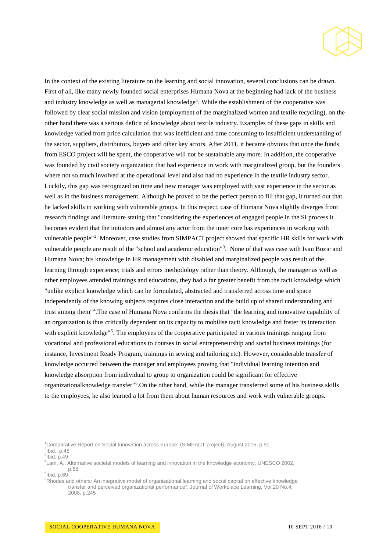

In the context of the existing literature on the learning and social innovation, several conclusions can be drawn. First of all, like many newly founded social enterprises Humana Nova at the beginning had lack of the business and industry knowledge as well as managerial knowledge<sup>[1](#page-9-0)</sup>. While the establishment of the cooperative was followed by clear social mission and vision (employment of the marginalized women and textile recycling), on the other hand there was a serious deficit of knowledge about textile industry. Examples of these gaps in skills and knowledge varied from price calculation that was inefficient and time consuming to insufficient understanding of the sector, suppliers, distributors, buyers and other key actors. After 2011, it became obvious that once the funds from ESCO project will be spent, the cooperative will not be sustainable any more. In addition, the cooperative was founded by civil society organization that had experience in work with marginalized group, but the founders where not so much involved at the operational level and also had no experience in the textile industry sector. Luckily, this gap was recognized on time and new manager was employed with vast experience in the sector as well as in the business management. Although he proved to be the perfect person to fill that gap, it turned out that he lacked skills in working with vulnerable groups. In this respect, case of Humana Nova slightly diverges from research findings and literature stating that "considering the experiences of engaged people in the SI process it becomes evident that the initiators and almost any actor from the inner core has experiences in working with vulnerable people"<sup>[2](#page-9-1)</sup>. Moreover, case studies from SIMPACT project showed that specific HR skills for work with vulnerable people are result of the "school and academic education"<sup>[3](#page-9-2)</sup>. None of that was case with Ivan Bozic and Humana Nova; his knowledge in HR management with disabled and marginalized people was result of the learning through experience; trials and errors methodology rather than theory. Although, the manager as well as other employees attended trainings and educations, they had a far greater benefit from the tacit knowledge which "unlike explicit knowledge which can be formulated, abstracted and transferred across time and space independently of the knowing subjects requires close interaction and the build up of shared understanding and trust among them"<sup>[4](#page-9-3)</sup>. The case of Humana Nova confirms the thesis that "the learning and innovative capability of an organization is thus critically dependent on its capacity to mobilise tacit knowledge and foster its interaction with explicit knowledge"<sup>[5](#page-9-4)</sup>. The employees of the cooperative participated in various trainings ranging from vocational and professional educations to courses in social entrepreneurship and social business trainings (for instance, Investment Ready Program, trainings in sewing and tailoring etc). However, considerable transfer of knowledge occurred between the manager and employees proving that "individual learning intention and knowledge absorption from individual to group to organization could be significant for effective organizationalknowledge transfer"<sup>[6](#page-9-5)</sup>. On the other hand, while the manager transferred some of his business skills to the employees, he also learned a lot from them about human resources and work with vulnerable groups.

<span id="page-9-1"></span><span id="page-9-0"></span><sup>&</sup>lt;sup>1</sup>Comparative Report on Social Innovation across Europe, (SIMPACT project), August 2015, p.51  $2$ lbid., p.48  $3$ Ibid, p.49

<span id="page-9-3"></span><span id="page-9-2"></span><sup>4</sup> Lam, A.: Alternative societal models of learning and innovation in the knowledge economy, UNESCO 2002, p.68 <sup>5</sup> Ibid, p.69

<span id="page-9-5"></span><span id="page-9-4"></span>

<sup>&</sup>lt;sup>6</sup>Rhodes and others: An integrative model of organizational learning and social capital on effective knowledge transfer and perceived organizational performance", Journal of Workplace Learning, Vol.20 No.4, 2008, p.245